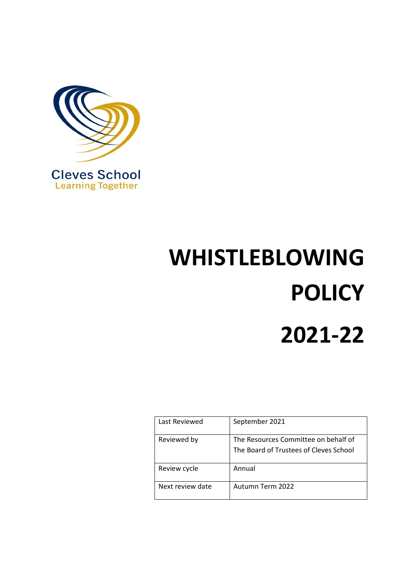

# **WHISTLEBLOWING POLICY 2021-22**

| Last Reviewed    | September 2021                                                                 |
|------------------|--------------------------------------------------------------------------------|
| Reviewed by      | The Resources Committee on behalf of<br>The Board of Trustees of Cleves School |
| Review cycle     | Annual                                                                         |
| Next review date | Autumn Term 2022                                                               |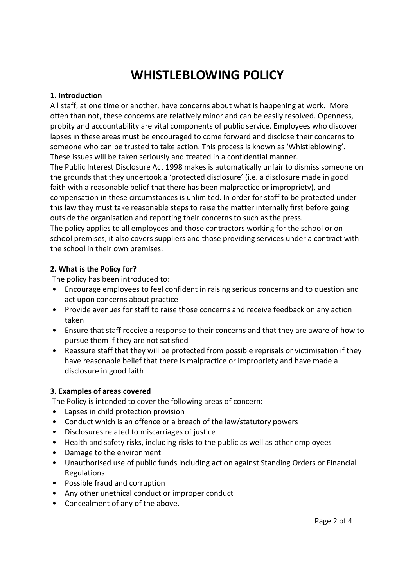# **WHISTLEBLOWING POLICY**

#### **1. Introduction**

All staff, at one time or another, have concerns about what is happening at work. More often than not, these concerns are relatively minor and can be easily resolved. Openness, probity and accountability are vital components of public service. Employees who discover lapses in these areas must be encouraged to come forward and disclose their concerns to someone who can be trusted to take action. This process is known as 'Whistleblowing'. These issues will be taken seriously and treated in a confidential manner. The Public Interest Disclosure Act 1998 makes is automatically unfair to dismiss someone on the grounds that they undertook a 'protected disclosure' (i.e. a disclosure made in good faith with a reasonable belief that there has been malpractice or impropriety), and compensation in these circumstances is unlimited. In order for staff to be protected under this law they must take reasonable steps to raise the matter internally first before going outside the organisation and reporting their concerns to such as the press. The policy applies to all employees and those contractors working for the school or on school premises, it also covers suppliers and those providing services under a contract with the school in their own premises.

#### **2. What is the Policy for?**

The policy has been introduced to:

- Encourage employees to feel confident in raising serious concerns and to question and act upon concerns about practice
- Provide avenues for staff to raise those concerns and receive feedback on any action taken
- Ensure that staff receive a response to their concerns and that they are aware of how to pursue them if they are not satisfied
- Reassure staff that they will be protected from possible reprisals or victimisation if they have reasonable belief that there is malpractice or impropriety and have made a disclosure in good faith

## **3. Examples of areas covered**

The Policy is intended to cover the following areas of concern:

- Lapses in child protection provision
- Conduct which is an offence or a breach of the law/statutory powers
- Disclosures related to miscarriages of justice
- Health and safety risks, including risks to the public as well as other employees
- Damage to the environment
- Unauthorised use of public funds including action against Standing Orders or Financial Regulations
- Possible fraud and corruption
- Any other unethical conduct or improper conduct
- Concealment of any of the above.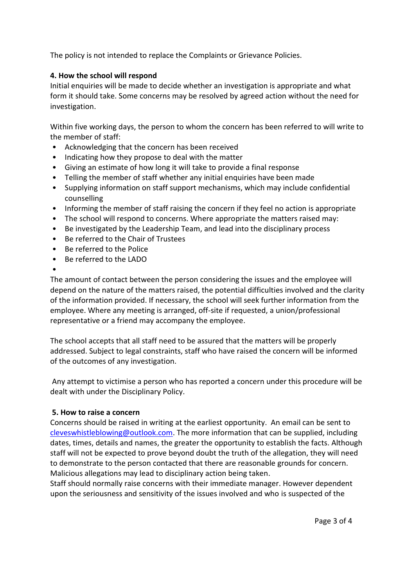The policy is not intended to replace the Complaints or Grievance Policies.

### **4. How the school will respond**

Initial enquiries will be made to decide whether an investigation is appropriate and what form it should take. Some concerns may be resolved by agreed action without the need for investigation.

Within five working days, the person to whom the concern has been referred to will write to the member of staff:

- Acknowledging that the concern has been received
- Indicating how they propose to deal with the matter
- Giving an estimate of how long it will take to provide a final response
- Telling the member of staff whether any initial enquiries have been made
- Supplying information on staff support mechanisms, which may include confidential counselling
- Informing the member of staff raising the concern if they feel no action is appropriate
- The school will respond to concerns. Where appropriate the matters raised may:
- Be investigated by the Leadership Team, and lead into the disciplinary process
- Be referred to the Chair of Trustees
- Be referred to the Police
- Be referred to the LADO
- •

The amount of contact between the person considering the issues and the employee will depend on the nature of the matters raised, the potential difficulties involved and the clarity of the information provided. If necessary, the school will seek further information from the employee. Where any meeting is arranged, off-site if requested, a union/professional representative or a friend may accompany the employee.

The school accepts that all staff need to be assured that the matters will be properly addressed. Subject to legal constraints, staff who have raised the concern will be informed of the outcomes of any investigation.

Any attempt to victimise a person who has reported a concern under this procedure will be dealt with under the Disciplinary Policy.

#### **5. How to raise a concern**

Concerns should be raised in writing at the earliest opportunity. An email can be sent to [cleveswhistleblowing@outlook.com.](mailto:cleveswhistleblowing@outlook.com) The more information that can be supplied, including dates, times, details and names, the greater the opportunity to establish the facts. Although staff will not be expected to prove beyond doubt the truth of the allegation, they will need to demonstrate to the person contacted that there are reasonable grounds for concern. Malicious allegations may lead to disciplinary action being taken.

Staff should normally raise concerns with their immediate manager. However dependent upon the seriousness and sensitivity of the issues involved and who is suspected of the